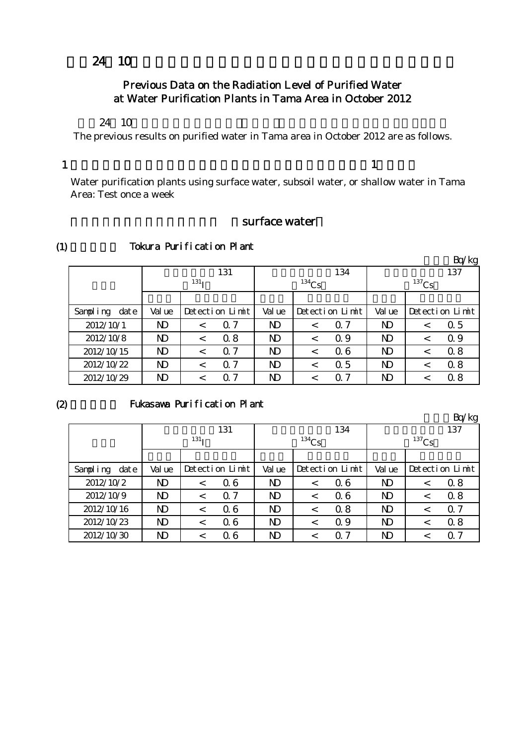## $24 \quad 10$

## Previous Data on the Radiation Level of Purified Water at Water Purification Plants in Tama Area in October 2012

#### $24 \quad 10$

The previous results on purified water in Tama area in October 2012 are as follows.

#### 1

(1)

 $\mathbf 1$ 

Water purification plants using surface water, subsoil water, or shallow water in Tama Area: Test once a week

### surface water

|                  |        |                  |                 |              |          |                 |              |  | Bq/kg           |
|------------------|--------|------------------|-----------------|--------------|----------|-----------------|--------------|--|-----------------|
|                  |        |                  | 131             |              |          | 134             |              |  | 137             |
|                  |        | 131 <sub>T</sub> |                 |              | $134$ Cs |                 | $137$ Cs     |  |                 |
|                  |        |                  |                 |              |          |                 |              |  |                 |
| date<br>Sampling | Val ue |                  | Detection Limit | Val ue       |          | Detection Limit | Val ue       |  | Detection Limit |
| 2012/10/1        | ND     | $\,<\,$          | $\alpha$ 7      | ND           | $\,<\,$  | $\Omega$ 7      | ND           |  | 0.5             |
| 2012/10/8        | ND     | $\,<\,$          | 0.8             | $\mathbf{D}$ |          | Q 9             | $\mathbf{D}$ |  | $\Omega$ 9      |
| 2012/10/15       | ND     | $\,<\,$          | $\Omega$ 7      | ND           |          | 06              | ND           |  | 0.8             |
| 2012/10/22       | ND     | $\,<\,$          | $\alpha$ 7      | ND           | <        | 0.5             | ND           |  | 0.8             |
| 2012/10/29       | ND     |                  | $\alpha$ 7      | ND           |          | Ω               | ND           |  | 0.8             |

#### Tokura Purification Plant

#### $(2)$

#### Fukasawa Purification Plant

Bq/kg 検出値 検出値 検出値 Sampling  $\det$  Value Detection Limit Value Detection Limit Value  $2012/10/2$  | ND | < 0.6 | ND | < 0.6 | ND | < 0.8  $2012/10/9$  ND < 0.7 ND < 0.6 ND < 0.8  $2012/10/16$  ND < 0.6 ND < 0.8 ND < 0.7  $2012/10/23$  ND < 0.6 ND < 0.9 ND < 0.8  $2012/10/30$  ND < 0.6 ND < 0.7 ND < 0.7 Detection Limit  $\vert$  Value  $\vert$  Detection Limit 放射性ヨウ素131  $131<sub>I</sub>$ 放射性セシウム134  $134$ Cs 放射性セシウム137  $137$ Cs 検出限界値 検出限界値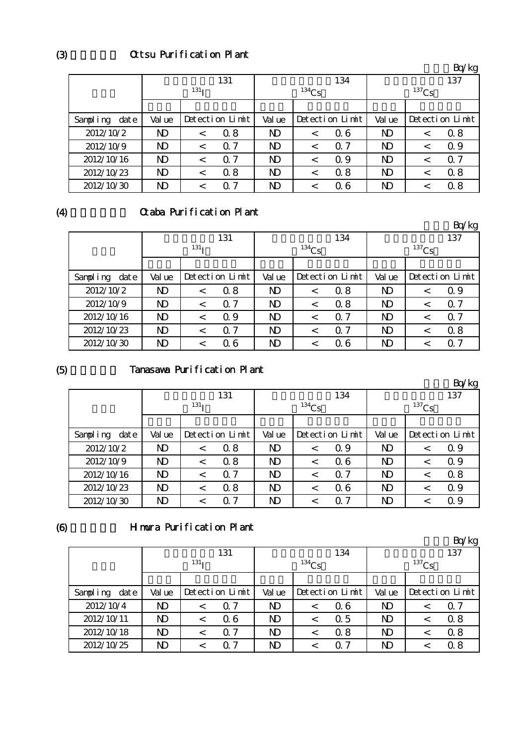## Ottsu Purification Plant

|                  |                |                  |                 |                |          |                 |                |          | Bq/kg           |
|------------------|----------------|------------------|-----------------|----------------|----------|-----------------|----------------|----------|-----------------|
|                  |                |                  | 131             |                |          | 134             |                |          | 137             |
|                  |                | 131 <sub>T</sub> |                 |                | $134$ Cs |                 |                | $137$ Cs |                 |
|                  |                |                  |                 |                |          |                 |                |          |                 |
| Sampling<br>date | Val ue         |                  | Detection Limit | Val ue         |          | Detection Limit | Val ue         |          | Detection Limit |
| 2012/10/2        | ND             |                  | 0.8             | ND             | <        | 06              | ND             |          | 08              |
| 2012/10/9        | $\mathbf{D}$   | $\,<\,$          | $\alpha$ 7      | ND.            | $\,<\,$  | Q 7             | N <sub>D</sub> | $\,<\,$  | 0.9             |
| 2012/10/16       | N <sub>D</sub> |                  | 7<br>0          | N <sub>D</sub> | $\,<\,$  | 0.9             | ND             |          | 0. 7            |
| 2012/10/23       | N <sub>D</sub> | $\,<\,$          | 0.8             | N <sub>D</sub> | $\,<\,$  | 0.8             | N <sub>D</sub> |          | 0.8             |
| 2012/10/30       | $\mathbf{D}$   | $\,<\,$          | $\alpha$ 7      | ND             | $\,<\,$  | 06              | ND             |          | 0.8             |

#### (4)

# Graba Purification Plant

|                  |                |                  |                 |                |          |                 |                |          | Bq/kg           |  |  |
|------------------|----------------|------------------|-----------------|----------------|----------|-----------------|----------------|----------|-----------------|--|--|
|                  |                |                  | 131             |                |          | 134             |                |          | 137             |  |  |
|                  |                | 131 <sub>T</sub> |                 |                | $134$ Cs |                 |                | $137$ Cs |                 |  |  |
|                  |                |                  |                 |                |          |                 |                |          |                 |  |  |
| Sampling<br>date | Val ue         |                  | Detection Limit | Val ue         |          | Detection Limit | Val ue         |          | Detection Limit |  |  |
| 2012/10/2        | $\mathbf{D}$   | $\,<\,$          | 0.8             | N <sub>D</sub> | $\,<\,$  | 0.8             | N <sub>D</sub> |          | $\Omega$ 9      |  |  |
| 2012/10/9        | $\mathbf{D}$   | $\,<\,$          | $\alpha$ 7      | N <sub>D</sub> | $\,<\,$  | 0.8             | ND             | $\,<\,$  | $\alpha$ 7      |  |  |
| 2012/10/16       | N <sub>D</sub> | $\,<\,$          | 0.9             | N <sub>D</sub> | $\,<\,$  | $\Omega$ 7      | N <sub>D</sub> |          | $\Omega$ 7      |  |  |
| 2012/10/23       | N <sub>D</sub> | $\,<\,$          | 0.7             | N <sub>D</sub> | $\,<\,$  | $\Omega$ 7      | N <sub>D</sub> |          | 0.8             |  |  |
| 2012/10/30       | ND             | $\,<\,$          | 06              | ND             | $\,<\,$  | 06              | ND             |          | 0.7             |  |  |

# (5)

## Tanasawa Purification Plant

|                  |                         |                  |                 |                |          |                 |                |          | Bq/kg           |
|------------------|-------------------------|------------------|-----------------|----------------|----------|-----------------|----------------|----------|-----------------|
|                  |                         |                  | 131             |                |          | 134             |                |          | 137             |
|                  |                         | 131 <sub>T</sub> |                 |                | $134$ Cs |                 |                | $137$ Cs |                 |
|                  |                         |                  |                 |                |          |                 |                |          |                 |
| Sampling<br>date | Val ue                  |                  | Detection Limit | Val ue         |          | Detection Limit | Val ue         |          | Detection Limit |
| 2012/10/2        | $\mathbf{D}$            | $\,<\,$          | 0.8             | N <sub>D</sub> | $\,<\,$  | 0.9             | N <sub>D</sub> | <        | 0.9             |
| 2012/10/9        | $\mathbf{D}$            | $\,<\,$          | 0.8             | N <sub>D</sub> | $\,<\,$  | 06              | $\mathbf{D}$   |          | 0.9             |
| 2012/10/16       | $\mathbf{D}$            |                  | 7<br>$\Omega$   | N <sub>D</sub> | $\,<\,$  | $\Omega$ 7      | N <sub>D</sub> |          | 0.8             |
| 2012/10/23       | ND                      |                  | 0.8             | ND.            | $\,<\,$  | 06              | ND             |          | 0.9             |
| 2012/10/30       | $\overline{\mathsf{D}}$ |                  | 7<br>Ω          | ND             | <        | Q 7             | ND             |          | 0.9             |

#### (6)

## Himura Purification Plant

|                      |              |                  |                 |             |             |                 |              |             | Bq⁄kg           |  |
|----------------------|--------------|------------------|-----------------|-------------|-------------|-----------------|--------------|-------------|-----------------|--|
|                      |              |                  | 131             |             |             | 134             |              |             | 137             |  |
|                      |              | 131 <sub>T</sub> |                 |             | $^{134}$ Cs |                 |              | $^{137}$ Cs |                 |  |
|                      |              |                  |                 |             |             |                 |              |             |                 |  |
| Sampling<br>$\det e$ | Val ue       |                  | Detection Limit | Val ue      |             | Detection Limit | Val ue       |             | Detection Limit |  |
| 2012/10/4            | ND           | $\,<\,$          | $\alpha$ 7      | $\mathbf N$ | <           | Q 6             | ND           |             | Q 7             |  |
| 2012/10/11           | ND           | $\,<\,$          | 06              | $\mathbf N$ | <           | 0.5             | ND           |             | 0.8             |  |
| 2012/10/18           | $\mathbf{D}$ | <                | -7<br>Ω         | ND          | <           | 0.8             | $\mathbf{D}$ |             | 0.8             |  |
| 2012/10/25           | ND           |                  | 7<br>O          | ND          |             | ი 7             | ND           |             | 0 8             |  |

(3)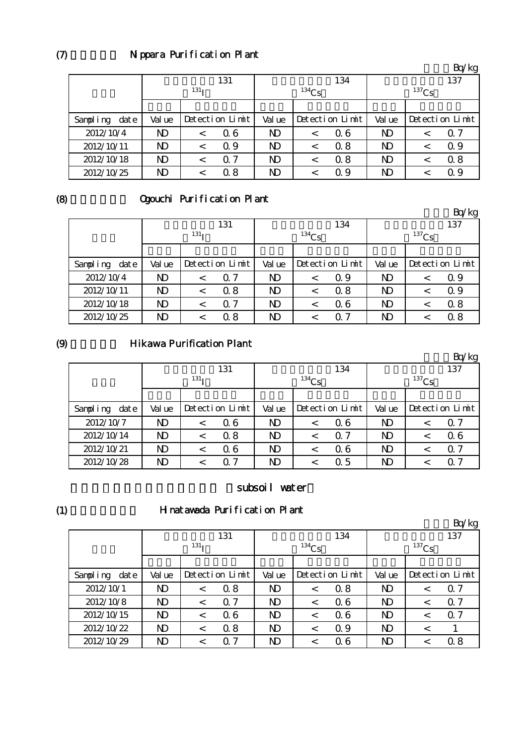## Nippara Purification Plant

|                  |              |                  |                 |                |          |                 |        |          | Bq/kg           |  |
|------------------|--------------|------------------|-----------------|----------------|----------|-----------------|--------|----------|-----------------|--|
|                  |              |                  | 131             |                |          | 134             | 137    |          |                 |  |
|                  |              | 131 <sub>T</sub> |                 |                | $134$ Cs |                 |        | $137$ Cs |                 |  |
|                  |              |                  |                 |                |          |                 |        |          |                 |  |
| Sampling<br>date | Val ue       |                  | Detection Limit | Val ue         |          | Detection Limit | Val ue |          | Detection Limit |  |
| 2012/10/4        | ND           | $\,<\,$          | 06              | N <sub>D</sub> | <        | 06              | ND     |          | $\alpha$ 7      |  |
| 2012/10/11       | ND           |                  | 0.9             | ND             | <        | 0.8             | ND     |          | $\Omega$ 9      |  |
| 2012/10/18       | $\mathbf{D}$ |                  | Q <sub>7</sub>  | N <sub>D</sub> | $\,<\,$  | 0.8             | ND     |          | 0.8             |  |
| 2012/10/25       | ND           |                  | 0.8             | ND             | ✓        | $\Omega$ 9      | ND     |          | Q 9             |  |

#### (8)

## Ogouchi Purification Plant

単位:Bq/kg 소리 시간 시간 시간 시간 시간 시간 시간 시간 시간 시간이 있다. Sampling date | Value | Detection Limit | Value | Detection Limit | Value | Detection Limit  $2012/10/4$  ND < 0.7 ND < 0.9 ND < 0.9  $2012/10/11$  ND < 0.8 ND < 0.8 ND < 0.9  $2012/10/18$  ND < 0.7 | ND < 0.6 | ND < 0.8  $2012/10/25$  ND < 0.8 ND < 0.7 ND < 0.8 放射性ヨウ素131  $131<sub>I</sub>$ 放射性セシウム134  $134C_S$ 放射性セシウム137  $137$ Cs 検出限界値 検出限界値

#### (9)

#### **Hikawa Purification Plant**

|                  |        |                  |                 |                |          |                 |        |          | Bq/kg           |
|------------------|--------|------------------|-----------------|----------------|----------|-----------------|--------|----------|-----------------|
|                  |        |                  | 131             |                |          | 134             |        |          | 137             |
|                  |        | 131 <sub>T</sub> |                 |                | $134$ Cs |                 |        | $137$ Cs |                 |
|                  |        |                  |                 |                |          |                 |        |          |                 |
| Sampling<br>date | Val ue |                  | Detection Limit | Val ue         |          | Detection Limit | Val ue |          | Detection Limit |
| 2012/10/7        | ND     |                  | 06              | N <sub>D</sub> |          | 06              | ND     |          | $\Omega$ 7      |
| 2012/10/14       | ND     |                  | 0.8             | ND.            | $\,<\,$  | $\Omega$ 7      | ND     |          | 06              |
| 2012/10/21       | ND     |                  | 06              | N <sub>D</sub> | <        | 06              | ND     |          | $\Omega$ 7      |
| 2012/10/28       | ND     |                  | 0. 7            | N)             |          | 0.5             | ND     |          | 0. 7            |

#### subsoil water

(1)

#### Hinatawada Purification Plant

|                  |                         |                  |                 |                |          |                 |                |          | Bq/kg           |
|------------------|-------------------------|------------------|-----------------|----------------|----------|-----------------|----------------|----------|-----------------|
|                  |                         |                  | 131             |                |          | 134             |                |          | 137             |
|                  |                         | 131 <sub>T</sub> |                 |                | $134$ Cs |                 |                | $137$ Cs |                 |
|                  |                         |                  |                 |                |          |                 |                |          |                 |
| Sampling<br>date | Val ue                  |                  | Detection Limit | Val ue         |          | Detection Limit | Val ue         |          | Detection Limit |
| 2012/10/1        | $\mathbf{D}$            | $\lt$            | 0.8             | N <sub>D</sub> | $\,<\,$  | 0.8             | N <sub>D</sub> | $\,<\,$  | $\Omega$ 7      |
| 2012/10/8        | $\mathbf{D}$            | $\lt$            | $\alpha$ 7      | ND.            | $\,<\,$  | 06              | N <sub>D</sub> |          | $\Omega$ 7      |
| 2012/10/15       | $\mathbf{D}$            | $\lt$            | 06              | $\mathbf{D}$   | <        | 06              | $\mathbf{D}$   |          | $\Omega$ 7      |
| 2012/10/22       | $\mathbf{D}$            | $\lt$            | 0.8             | ND.            | $\,<\,$  | Q 9             | N <sub>D</sub> |          |                 |
| 2012/10/29       | $\overline{\mathrm{D}}$ |                  | 7<br>Ω          | ND             | <        | Q 6             | ND             |          | 0.8             |

 $(7)$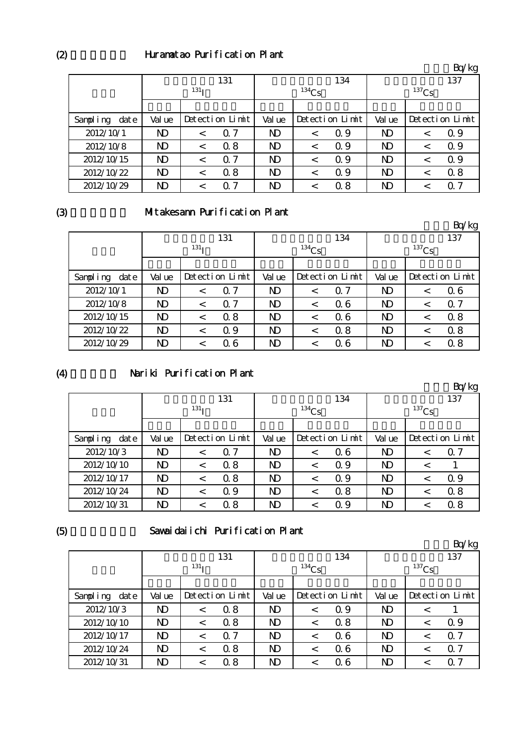## Huramatao Purification Plant

|                  |                |                  |                 |                |          |                 |                |          | Bq/kg           |
|------------------|----------------|------------------|-----------------|----------------|----------|-----------------|----------------|----------|-----------------|
|                  |                |                  | 131             |                |          | 134             |                |          | 137             |
|                  |                | 131 <sub>T</sub> |                 |                | $134$ Cs |                 |                | $137$ Cs |                 |
|                  |                |                  |                 |                |          |                 |                |          |                 |
| Sampling<br>date | Val ue         |                  | Detection Limit | Val ue         |          | Detection Limit | Val ue         |          | Detection Limit |
| 2012/10/1        | ND             | $\lt$            | 7<br>0          | ND.            | $\,<\,$  | Q 9             | ND             | $\,<\,$  | 0.9             |
| 2012/10/8        | ND             | $\,<\,$          | 0.8             | ND             | $\,<\,$  | 0.9             | ND             |          | $\Omega$ 9      |
| 2012/10/15       | ND             | $\lt$            | $\alpha$ 7      | N <sub>D</sub> | $\,<\,$  | Q 9             | ND             | $\,<\,$  | $\Omega$ 9      |
| 2012/10/22       | N <sub>D</sub> | $\,<\,$          | 0.8             | N <sub>D</sub> | $\,<\,$  | Q 9             | N <sub>D</sub> | $\,<\,$  | 08              |
| 2012/10/29       | $\mathbf{D}$   | $\,<\,$          | 0.7             | ND             | $\,<\,$  | 0.8             | $\mathbf{D}$   |          | $\Omega$ 7      |

#### (3)

# Mitakesann Purification Plant

|                  |        |                  |                 |                |         |                 |                |         | Bq/kg           |
|------------------|--------|------------------|-----------------|----------------|---------|-----------------|----------------|---------|-----------------|
|                  |        |                  | 131             |                |         | 134             |                |         | 137             |
|                  |        | 131 <sub>T</sub> |                 | $134$ Cs       |         |                 | $137$ Cs       |         |                 |
|                  |        |                  |                 |                |         |                 |                |         |                 |
| Sampling<br>date | Val ue |                  | Detection Limit | Val ue         |         | Detection Limit | Val ue         |         | Detection Limit |
| 2012/10/1        | N)     | $\,<\,$          | 7<br>Ω          | ND             | $\,<\,$ | $\Omega$ 7      | ND             | $\,<\,$ | 06              |
| 2012/10/8        | ND     | $\lt$            | $\alpha$ 7      | N <sub>D</sub> | $\lt$   | 06              | N <sub>D</sub> | $\,<\,$ | $\alpha$ 7      |
| 2012/10/15       | ND     | $\,<\,$          | 0.8             | N <sub>D</sub> | $\,<\,$ | 06              | N <sub>D</sub> | $\,<\,$ | 08              |
| 2012/10/22       | ND     | $\,<\,$          | 0.9             | N <sub>D</sub> | $\,<\,$ | 0.8             | N <sub>D</sub> | <       | 0.8             |
| 2012/10/29       | ND     | $\,<\,$          | 06              | $\mathbf{D}$   | $\,<\,$ | 06              | N <sub>D</sub> | ✓       | 0.8             |

#### (4)

## Nariki Purification Plant

|                  |                |                  |                 |                |          |                 |                |          | Bq/kg           |
|------------------|----------------|------------------|-----------------|----------------|----------|-----------------|----------------|----------|-----------------|
|                  |                |                  | 131             |                |          | 134             |                |          | 137             |
|                  |                | 131 <sub>T</sub> |                 |                | $134$ Cs |                 |                | $137$ Cs |                 |
|                  |                |                  |                 |                |          |                 |                |          |                 |
| Sampling<br>date | Val ue         |                  | Detection Limit | Val ue         |          | Detection Limit | Val ue         |          | Detection Limit |
| 2012/10/3        | $\mathbf{D}$   |                  | 7<br>$\Omega$   | N <sub>D</sub> | $\,<\,$  | 06              | $\mathbf{D}$   |          | $\Omega$ 7      |
| 2012/10/10       | ND             | $\,<\,$          | 0.8             | N <sub>D</sub> | $\,<\,$  | Q 9             | N <sub>D</sub> | $\,<\,$  |                 |
| 2012/10/17       | N <sub>D</sub> | $\,<\,$          | 0.8             | N <sub>D</sub> | $\,<\,$  | Q 9             | ND             |          | 0.9             |
| 2012/10/24       | $\mathbf{D}$   | $\,<\,$          | 0.9             | N <sub>D</sub> | $\,<\,$  | 0.8             | ND             |          | 0.8             |
| 2012/10/31       | ND             |                  | 0.8             | ND             | $\,<\,$  | 0.9             | ND             |          | 0.8             |

# (5)

## Sawaidaiichi Purification Plant

|                  |              |                  |                 |                |         |                 |                |          | Bq/kg           |  |  |
|------------------|--------------|------------------|-----------------|----------------|---------|-----------------|----------------|----------|-----------------|--|--|
|                  |              |                  | 131             |                |         | 134             |                |          | 137             |  |  |
|                  |              | 131 <sub>T</sub> |                 | $134$ Cs       |         |                 |                | $137$ Cs |                 |  |  |
|                  |              |                  |                 |                |         |                 |                |          |                 |  |  |
| Sampling<br>date | Val ue       |                  | Detection Limit | Val ue         |         | Detection Limit | Val ue         |          | Detection Limit |  |  |
| 2012/10/3        | ND.          | $\,<\,$          | 0.8             | N <sub>D</sub> |         | Q 9             | N <sub>D</sub> |          |                 |  |  |
| 2012/10/10       | ND           | $\,<\,$          | 0.8             | N <sub>D</sub> |         | 0.8             | N <sub>D</sub> |          | Q 9             |  |  |
| 2012/10/17       | ND.          | $\,<\,$          | $\Omega$ 7      | N <sub>D</sub> | $\,<\,$ | 06              | N <sub>D</sub> |          | $\alpha$ 7      |  |  |
| 2012/10/24       | $\mathbf{D}$ | $\,<\,$          | 0.8             | N <sub>D</sub> | $\,<\,$ | 06              | N <sub>D</sub> |          | Q <sub>7</sub>  |  |  |
| 2012/10/31       | ND           | <                | 0.8             | N <sub>D</sub> |         | Q 6             | ND             |          | $\alpha$ 7      |  |  |

 $(2)$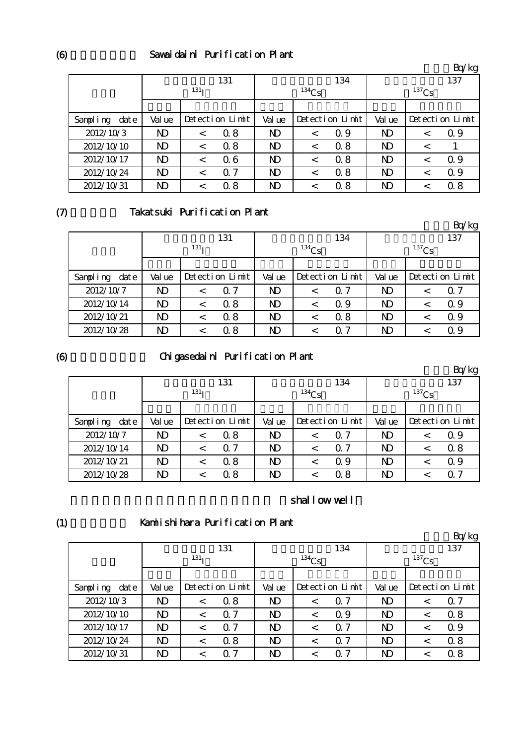## Sawaidaini Purification Plant

|                  |              |                  |                 |                |         |                 |                |         | Bq/kg           |  |
|------------------|--------------|------------------|-----------------|----------------|---------|-----------------|----------------|---------|-----------------|--|
|                  |              |                  | 131             |                |         | 134             |                |         | 137             |  |
|                  |              | 131 <sub>T</sub> |                 | $134$ Cs       |         |                 | $137$ Cs       |         |                 |  |
|                  |              |                  |                 |                |         |                 |                |         |                 |  |
| Sampling<br>date | Val ue       |                  | Detection Limit | Val ue         |         | Detection Limit | Val ue         |         | Detection Limit |  |
| 2012/10/3        | ND           |                  | 0.8             | ND.            | $\,<\,$ | Q 9             | N <sub>D</sub> |         | 0.9             |  |
| 2012/10/10       | ND           | $\,<\,$          | 0.8             | N <sub>D</sub> | $\lt$   | 0.8             | N <sub>D</sub> | $\,<\,$ |                 |  |
| 2012/10/17       | $\mathbf{D}$ | $\,<\,$          | 06              | N <sub>D</sub> | <       | 0.8             | N <sub>D</sub> |         | 0.9             |  |
| 2012/10/24       | ND           | $\,<\,$          | $\alpha$ 7      | ND.            | $\,<\,$ | 0.8             | ND             |         | $\Omega$ 9      |  |
| 2012/10/31       | ND           |                  | 0.8             | ND             | $\,<\,$ | 0.8             | N <sub>D</sub> |         | 0.8             |  |

#### $(7)$

## Takatsuki Purification Plant

|                  |              |                  |                 |                |                 |            |                |  | Bq/kg           |
|------------------|--------------|------------------|-----------------|----------------|-----------------|------------|----------------|--|-----------------|
|                  |              |                  | 131             |                |                 | 134        |                |  | 137             |
|                  |              | 131 <sub>T</sub> |                 |                | $134$ Cs        |            | $137$ Cs       |  |                 |
|                  |              |                  |                 |                |                 |            |                |  |                 |
| Sampling<br>date | Val ue       |                  | Detection Limit |                | Detection Limit |            | Val ue         |  | Detection Limit |
| 2012/10/7        | $\mathbf{D}$ | $\,<\,$          | $\alpha$ 7      | ND             | $\,<\,$         | $\alpha$ 7 | ND             |  | $\alpha$ 7      |
| 2012/10/14       | $\mathbf{D}$ | $\,<\,$          | 0.8             | N <sub>D</sub> | $\,<\,$         | $\Omega$ 9 | ND             |  | 0.9             |
| 2012/10/21       | $\mathbf{D}$ |                  | 0.8             | ND.            | $\,<\,$         | 0.8        | N <sub>D</sub> |  | $\Omega$ 9      |
| 2012/10/28       | $\mathbf{D}$ |                  | 0.8             | N)             |                 | 0. 7       | ND             |  | 0.9             |

#### (6)

# Chigasedaini Purification Plant

|                  |                         |                  |                 |                |          |                 |                |  | Bq/kg           |
|------------------|-------------------------|------------------|-----------------|----------------|----------|-----------------|----------------|--|-----------------|
|                  |                         |                  | 131             |                |          | 134             |                |  | 137             |
|                  |                         | 131 <sub>T</sub> |                 |                | $134$ Cs |                 | $137$ Cs       |  |                 |
|                  |                         |                  |                 |                |          |                 |                |  |                 |
| date<br>Sampling | Val ue                  |                  | Detection Limit | Val ue         |          | Detection Limit | Val ue         |  | Detection Limit |
| 2012/10/7        | $\mathbf{D}$            |                  | 0.8             | $\mathbf{D}$   | $\,<\,$  | $\Omega$ 7      | N <sub>D</sub> |  | $\Omega$ 9      |
| 2012/10/14       | ND                      |                  | $\Omega$ 7      | ND.            | $\,<\,$  | $\Omega$ 7      | ND             |  | 0.8             |
| 2012/10/21       | ND                      |                  | 0.8             | N <sub>D</sub> | $\,<\,$  | Q 9             | N)             |  | 0.9             |
| 2012/10/28       | $\overline{\mathrm{D}}$ |                  | 0.8             | ND             |          | 0.8             | $\mathbf{D}$   |  | Q 7             |

## shallow well

#### (1)

# Kamiishihara Purification Plant

|                      |                |                  |                 |              |          |                 |                |          | Bq/kg           |
|----------------------|----------------|------------------|-----------------|--------------|----------|-----------------|----------------|----------|-----------------|
|                      |                |                  | 131             |              |          | 134             | 137            |          |                 |
|                      |                | 131 <sub>T</sub> |                 |              | $134$ Cs |                 |                | $137$ Cs |                 |
|                      |                |                  |                 |              |          |                 |                |          |                 |
| Sampling<br>$\det e$ | Val ue         |                  | Detection Limit | Val ue       |          | Detection Limit | Val ue         |          | Detection Limit |
| 2012/10/3            | N <sub>D</sub> | $\,<\,$          | $\alpha$ 8      | ND.          | $\,<\,$  | $\alpha$ 7      | ND             |          | $\alpha$ 7      |
| 2012/10/10           | $\mathbf{D}$   |                  | $\alpha$ 7      | ND.          | $\,<\,$  | 0.9             | ND             |          | 0.8             |
| 2012/10/17           | ND             | $\,<\,$          | $\alpha$ 7      | $\mathbf{D}$ | $\,<\,$  | $\Omega$ 7      | N <sub>D</sub> |          | $\Omega$ 9      |
| 2012/10/24           | N <sub>D</sub> |                  | 0.8             | $\mathbf{D}$ | <        | $\Omega$ 7      | N <sub>D</sub> |          | 0.8             |
| 2012/10/31           | ND             |                  | 7<br>O          | N)           |          | 07              | ND             |          | 0.8             |

(6)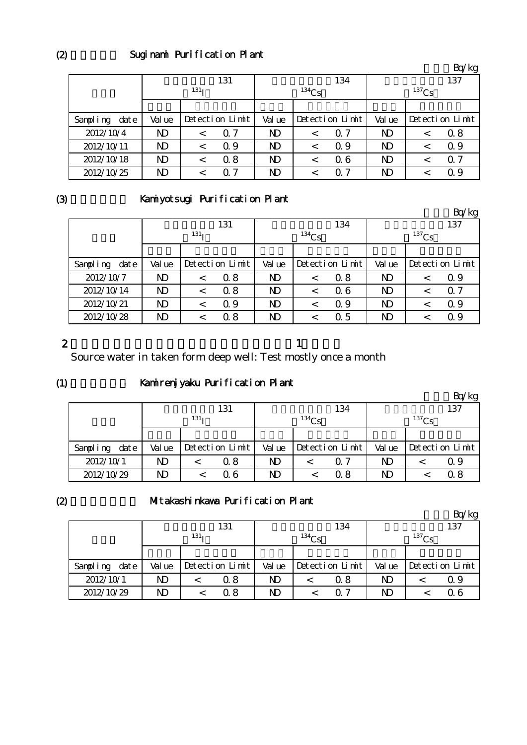## Suginami Purification Plant

|                  |                         |                  |                 |                |          |                 |                         |   | Bq/kg           |
|------------------|-------------------------|------------------|-----------------|----------------|----------|-----------------|-------------------------|---|-----------------|
|                  |                         |                  | 131             |                |          | 134             | 137                     |   |                 |
|                  |                         | 131 <sub>T</sub> |                 |                | $134$ Cs |                 | $137$ Cs                |   |                 |
|                  |                         |                  |                 |                |          |                 |                         |   |                 |
| Sampling<br>date | Val ue                  |                  | Detection Limit |                |          | Detection Limit | Val ue                  |   | Detection Limit |
| 2012/10/4        | ND                      |                  | $\Omega$ 7      | N <sub>D</sub> | <        | $\Omega$ 7      | ND                      |   | 0.8             |
| 2012/10/11       | ND                      |                  | 0.9             | ND             | $\,<\,$  | 0.9             | ND                      |   | 0.9             |
| 2012/10/18       | ND                      | $\,<\,$          | 0.8             | N <sub>D</sub> | $\,<\,$  | 06              | ND                      | < | Q <sub>7</sub>  |
| 2012/10/25       | $\overline{\mathrm{D}}$ |                  | 7<br>Ω.         | ND             | <        | 07              | $\overline{\mathsf{D}}$ |   | $\Omega$ 9      |

#### (3)

## Kamiyotsugi Purification Plant

|                  |                |                  |                 |              |          |                 |                |     | Bq/kg           |
|------------------|----------------|------------------|-----------------|--------------|----------|-----------------|----------------|-----|-----------------|
|                  |                |                  | 131             |              |          | 134             |                | 137 |                 |
|                  |                | 131 <sub>T</sub> |                 |              | $134$ Cs |                 | $137$ Cs       |     |                 |
|                  |                |                  |                 |              |          |                 |                |     |                 |
| Sampling<br>date | Val ue         |                  | Detection Limit | Val ue       |          | Detection Limit | Val ue         |     | Detection Limit |
| 2012/10/7        | N <sub>D</sub> | $\,<\,$          | 0.8             | $\mathbf{D}$ | $\,<\,$  | 0.8             | N <sub>D</sub> |     | $\Omega$ 9      |
| 2012/10/14       | ND             | $\,<\,$          | 0.8             | $\mathbf{D}$ | $\,<\,$  | 06              | N <sub>D</sub> |     | 0.7             |
| 2012/10/21       | ND             | $\,<\,$          | $\Omega$ 9      | $\mathbf{D}$ | $\,<\,$  | Q 9             | N <sub>D</sub> |     | $\Omega$ 9      |
| 2012/10/28       | ND             |                  | 0.8             | $\mathbf{D}$ |          | 0.5             | N)             |     | $\Omega$ 9      |

#### 2

the state  $\mathbf n$  -axis in the state  $\mathbf n$  -axis in the state  $\mathbf n$ 

Source water in taken form deep well: Test mostly once a month

#### $(1)$

## Kamirenjyaku Purification Plant

|                  |        |                  |                 |              |          |                 |        |            | Bq/kg           |  |
|------------------|--------|------------------|-----------------|--------------|----------|-----------------|--------|------------|-----------------|--|
|                  |        |                  | 131             |              |          | 134             |        |            | 137             |  |
|                  |        | 131 <sub>T</sub> |                 |              | $134C_S$ |                 |        | $^{137}Cs$ |                 |  |
|                  |        |                  |                 |              |          |                 |        |            |                 |  |
| date<br>Sampling | Val ue |                  | Detection Limit | Val ue       |          | Detection Limit | Val ue |            | Detection Limit |  |
| 2012/10/1        | ND     |                  | 0.8             | $\mathbf{D}$ |          | Q 7             | ND     |            | Q 9             |  |
| 2012/10/29       | ND     |                  | Q 6             | ND           |          | 0 8             | ND     |            | $\Omega$ 8      |  |

# $(2)$

#### Mitakashinkawa Purification Plant

単位:Bq/kg

|                  | 131              |                      |     |        |  | 134             | 137                     |  |                 |  |
|------------------|------------------|----------------------|-----|--------|--|-----------------|-------------------------|--|-----------------|--|
|                  | 131 <sub>T</sub> |                      |     | 134Cs  |  |                 | $^{137}Cs$              |  |                 |  |
|                  |                  |                      |     |        |  |                 |                         |  |                 |  |
| date<br>Sampling | Val ue           | $Detecti$ on $Limit$ |     | Val ue |  | Detection Limit | Val ue                  |  | Detection Limit |  |
| 2012/10/1        | ND               |                      | 0.8 | ND     |  | 0.8             | $\overline{\mathsf{D}}$ |  | Q 9             |  |
| 2012/10/29       | ND               |                      | Q 8 | ND     |  | ი 7             | ND                      |  | 06              |  |

 $(2)$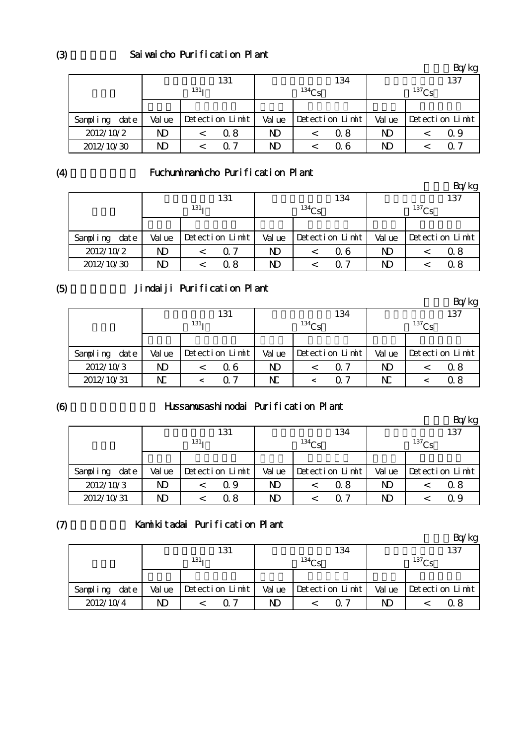|                  |        |                  |                 |        |          |                 |        |          | Bq/kg           |  |  |
|------------------|--------|------------------|-----------------|--------|----------|-----------------|--------|----------|-----------------|--|--|
|                  |        |                  | 131             |        |          | 134             |        |          | 137             |  |  |
|                  |        | 131 <sub>T</sub> |                 |        | $134$ Cs |                 |        | $137$ Cs |                 |  |  |
|                  |        |                  |                 |        |          |                 |        |          |                 |  |  |
| Sampling<br>date | Val ue |                  | Detection Limit | Val ue |          | Detection Limit | Val ue |          | Detection Limit |  |  |
| 2012/10/2        | ND     |                  | 0.8             | ND.    |          | Q 8             | ND     |          | Q 9             |  |  |
| 2012/10/30       | ND     |                  | ∩ 7             | ND     |          | 0 6             | ND     |          | O 7             |  |  |

(4)

# Fuchuminamicho Purification Plant

|                      |              |                  |                 |        |          |                 |        |          | Bq/kg           |  |
|----------------------|--------------|------------------|-----------------|--------|----------|-----------------|--------|----------|-----------------|--|
|                      |              |                  | 131             |        |          | 134             |        |          | 137             |  |
|                      |              | 131 <sub>T</sub> |                 |        | $134$ Cs |                 |        | $137$ Cs |                 |  |
|                      |              |                  |                 |        |          |                 |        |          |                 |  |
| $\det e$<br>Sampling | Val ue       |                  | Detection Limit | Val ue |          | Detection Limit | Val ue |          | Detection Limit |  |
| 2012/10/2            | $\mathbf{D}$ |                  | 0.7             | ND     |          | 06              | ND     |          | 0.8             |  |
| 2012/10/30           | ND           |                  | 0.8             | ND     |          | ∩ 7             | ND     |          | 0.8             |  |

(5)

# Jindaiji Purification Plant

|               |        |                  |                 |         |          |                 |        |            | Bq/kg           |  |
|---------------|--------|------------------|-----------------|---------|----------|-----------------|--------|------------|-----------------|--|
|               |        |                  | 131             |         |          | 134             |        |            | 137             |  |
|               |        | 131 <sub>T</sub> |                 |         | $134$ Cs |                 |        | $^{137}Cs$ |                 |  |
|               |        |                  |                 |         |          |                 |        |            |                 |  |
| Sampling date | Val ue |                  | Detection Limit | Val ue  |          | Detection Limit | Val ue |            | Detection Limit |  |
| 2012/10/3     | ND     |                  | 06              | ND      |          | ი 7             | ND     |            | 0.8             |  |
| 2012/10/31    | N      |                  | O 7             | $\rm N$ |          | O 7             | N      |            | $\alpha$ 8      |  |

(6)

## Hussamusashinodai Purification Plant

|                  |        |                  |                 |        |            |                 |        |             | Bq/kg           |  |
|------------------|--------|------------------|-----------------|--------|------------|-----------------|--------|-------------|-----------------|--|
|                  |        |                  | 131             |        |            | 134             |        |             | 137             |  |
|                  |        | 131 <sub>T</sub> |                 |        | $^{134}Cs$ |                 |        | $^{137}$ Cs |                 |  |
|                  |        |                  |                 |        |            |                 |        |             |                 |  |
| date<br>Sampling | Val ue |                  | Detection Limit | Val ue |            | Detection Limit | Val ue |             | Detection Limit |  |
| 2012/10/3        | ND     |                  | Q 9             | ND     |            | 0.8             | ND     |             | Q 8             |  |
| 2012/10/31       | ND     |                  | 08              | ND     |            | ი 7             | ND     |             | Q 9             |  |

#### $(7)$ Kamikitadai Purification Plant

|               |        |                  |        |                   |        | $\alpha$ /kg      |
|---------------|--------|------------------|--------|-------------------|--------|-------------------|
|               |        | 131              |        | 134               |        | 137               |
|               |        | 131 <sub>T</sub> |        | 134C <sub>c</sub> |        | 137C <sub>g</sub> |
|               |        |                  |        |                   |        |                   |
| Sampling date | Val ue | Detection Limit  | Val ue | Detection Limit   | Val ue | Detection Limit   |
| 2012/10/4     | ND     | ∩ 7              | ND     | <u>07</u>         | ND     |                   |

(3)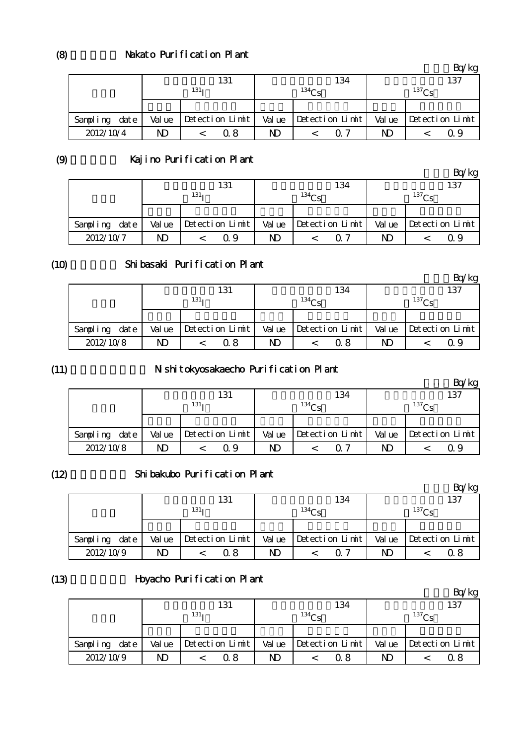|               |        | 131                  |    | 134                   | 137               |                       |  |
|---------------|--------|----------------------|----|-----------------------|-------------------|-----------------------|--|
|               |        | $131_1$              |    | 134C <sub>c</sub>     | 137C <sub>c</sub> |                       |  |
|               |        |                      |    |                       |                   |                       |  |
| Sampling date | Val ue | $Detecti$ on $Limit$ |    | Value Detection Limit |                   | Value Detection Limit |  |
| 2012/10/4     | ND     | Q 8                  | ND | ר ה                   | ND                | O 9                   |  |

(9)

(8)

# Kajino Purification Plant

|           | . .  |                  |     |                 |                         |     |                 |             |     | Bq/kg           |  |
|-----------|------|------------------|-----|-----------------|-------------------------|-----|-----------------|-------------|-----|-----------------|--|
|           |      |                  | 131 |                 |                         | 134 |                 |             | 137 |                 |  |
|           |      | 131 <sub>T</sub> |     |                 | 134C <sub>c</sub>       |     |                 | $137C_S$    |     |                 |  |
|           |      |                  |     |                 |                         |     |                 |             |     |                 |  |
| Sampling  | date | Val ue           |     | Detection Limit | Val ue                  |     | Detection Limit | Val ue      |     | Detection Limit |  |
| 2012/10/7 |      | ND               |     | Q 9             | $\overline{\mathsf{D}}$ |     | 0. 7            | $\mathbf M$ |     | 09              |  |

#### (10)

## Shibasaki Purification Plant

|               |        |                      |        |                 |                         | Bq/kg           |  |
|---------------|--------|----------------------|--------|-----------------|-------------------------|-----------------|--|
|               |        | 131                  |        | 134             |                         | 137             |  |
|               |        | 131 <sub>T</sub>     |        | $134$ Cs        | $^{137}Cs$              |                 |  |
|               |        |                      |        |                 |                         |                 |  |
| Sampling date | Val ue | $Detecti$ on $Limit$ | Val ue | Detection Limit | Val ue                  | Detection Limit |  |
| 2012/10/8     | ND     | 0 8                  | ND     | 0.8             | $\overline{\mathsf{D}}$ | Q 9             |  |

## (11)

# Nishitokyosakaecho Purification Plant

|           |      |        |                  |                 |        |                   |                 |        |                   | Bq/kg           |
|-----------|------|--------|------------------|-----------------|--------|-------------------|-----------------|--------|-------------------|-----------------|
|           |      |        |                  | 131             |        |                   | 134             |        |                   | 137             |
|           |      |        | 131 <sub>T</sub> |                 |        | 134C <sub>c</sub> |                 |        | 137C <sub>c</sub> |                 |
|           |      |        |                  |                 |        |                   |                 |        |                   |                 |
| Sampling  | date | Val ue |                  | Detection Limit | Val ue |                   | Detection Limit | Val ue |                   | Detection Limit |
| 2012/10/8 |      | ND     |                  | Q 9             | ND     |                   | 0 7             | ND     |                   | Q 9             |

## (12)

#### Shibakubo Purification Plant

|                  |        |                  |        |                   |        | Bq/kg           |  |
|------------------|--------|------------------|--------|-------------------|--------|-----------------|--|
|                  |        | 131              |        | 134               | 137    |                 |  |
|                  |        | 131 <sub>T</sub> |        | 134C <sub>c</sub> |        | $^{137}$ Cs     |  |
|                  |        |                  |        |                   |        |                 |  |
| date<br>Sampling | Val ue | Detection Limit  | Val ue | Detection Limit   | Val ue | Detection Limit |  |
| 2012/10/9        | ND     | Q 8              | ND     | 0. 7              | ND     | Ω8              |  |

#### (13)

# Hoyacho Purification Plant

|               | . .    |                  |        |                 |        | 'kg               |
|---------------|--------|------------------|--------|-----------------|--------|-------------------|
|               |        | 131              |        | 134             |        | 137               |
|               |        | 131 <sub>T</sub> |        | $134C_S$        |        | 137C <sub>S</sub> |
|               |        |                  |        |                 |        |                   |
| Sampling date | Val ue | Detection Limit  | Val ue | Detection Limit | Val ue | Detection Limit   |
| 2012/10/9     | ND     | Ω8               | ND     | 0 8             | ND     | 0.8               |

 $Rn/kg$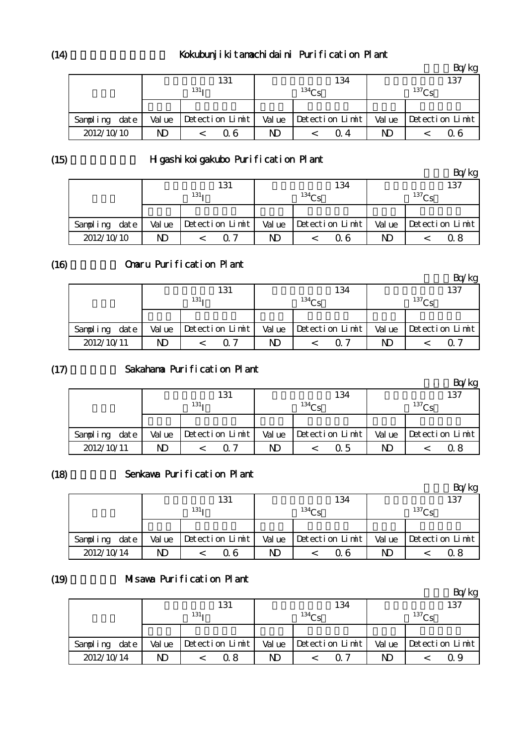# Kokubunjikitamachidaini Purification Plant

|               |        |                  |        |                   |        | Bq/kg           |
|---------------|--------|------------------|--------|-------------------|--------|-----------------|
|               |        | 131              |        | 134               |        | 137             |
|               |        | 131 <sub>T</sub> |        | 134C <sub>c</sub> |        | $^{137}Cs$      |
|               |        |                  |        |                   |        |                 |
| Sampling date | Val ue | Detection Limit  | Val ue | Detection Limit   | Val ue | Detection Limit |
| 2012/10/10    | ND     | Q 6              | ND     | O 4               | ND     | Q 6             |

(15)

## H gashikoigakubo Purification Plant

|            |      | . .              | . . |                      |        |          |                 |             |             | Bq/kg           |  |
|------------|------|------------------|-----|----------------------|--------|----------|-----------------|-------------|-------------|-----------------|--|
|            |      | 131              |     |                      |        | 134      |                 |             | 137         |                 |  |
|            |      | 131 <sub>T</sub> |     |                      |        | $134C_S$ |                 |             | $^{137}$ Cs |                 |  |
|            |      |                  |     |                      |        |          |                 |             |             |                 |  |
| Sampling   | date | Val ue           |     | $Detecti$ on $Limit$ | Val ue |          | Detection Limit | Val ue      |             | Detection Limit |  |
| 2012/10/10 |      | ND               |     | 0 7                  | ND     |          | Q 6             | $\mathbf M$ |             | 0 8             |  |

#### (16) Omaru Purification Plant

|               |        |                  |                 |        |                   |                 |        |          | Bq/kg           |  |
|---------------|--------|------------------|-----------------|--------|-------------------|-----------------|--------|----------|-----------------|--|
|               |        | 131              |                 |        |                   | 134             | 137    |          |                 |  |
|               |        | 131 <sub>T</sub> |                 |        | 134C <sub>c</sub> |                 |        | $137C_S$ |                 |  |
|               |        |                  |                 |        |                   |                 |        |          |                 |  |
| Sampling date | Val ue |                  | Detection Limit | Val ue |                   | Detection Limit | Val ue |          | Detection Limit |  |
| 2012/10/11    | ND     |                  | $\sqrt{7}$      | ND     |                   |                 | ND     |          | $\Omega$        |  |

#### $(17)$ Sakahama Purification Plant

|               |        |                  |                 |        |            |                 |        |             | Bq/kg           |  |
|---------------|--------|------------------|-----------------|--------|------------|-----------------|--------|-------------|-----------------|--|
|               | 131    |                  |                 | 134    |            |                 |        | 137         |                 |  |
|               |        | 131 <sub>T</sub> |                 |        | $^{134}Cs$ |                 |        | $^{137}$ Cs |                 |  |
|               |        |                  |                 |        |            |                 |        |             |                 |  |
| Sampling date | Val ue |                  | Detection Limit | Val ue |            | Detection Limit | Val ue |             | Detection Limit |  |
| 2012/10/11    | ND     |                  | ∩ 7             | ND.    |            | Q 5             | ND     |             | 0.8             |  |

## (18)

## Senkawa Purification Plant

|               |                         |                 |        |                 |             | Bq/kg           |  |
|---------------|-------------------------|-----------------|--------|-----------------|-------------|-----------------|--|
|               |                         | 131             |        | 134             | 137         |                 |  |
|               |                         | $131_1$         |        | 134Cs           | $^{137}$ Cs |                 |  |
|               |                         |                 |        |                 |             |                 |  |
| Sampling date | Val ue                  | Detection Limit | Val ue | Detection Limit | Val ue      | Detection Limit |  |
| 2012/10/14    | $\overline{\mathsf{D}}$ | 06              | ND     | Q 6             | ND          | Q 8             |  |

#### (19) Misawa Purification Plant

|               |        |                  |        |                 |             | Bq/kg           |  |  |
|---------------|--------|------------------|--------|-----------------|-------------|-----------------|--|--|
|               |        | 131              |        | 134             |             | 137             |  |  |
|               |        | 131 <sub>T</sub> |        | $134C_S$        | $^{137}$ Cs |                 |  |  |
|               |        |                  |        |                 |             |                 |  |  |
| Sampling date | Val ue | Detection Limit  | Val ue | Detection Limit | Val ue      | Detection Limit |  |  |
| 2012/10/14    | ND     | Q 8              | ND     | 07              | ND          | Ω9              |  |  |

 $(14)$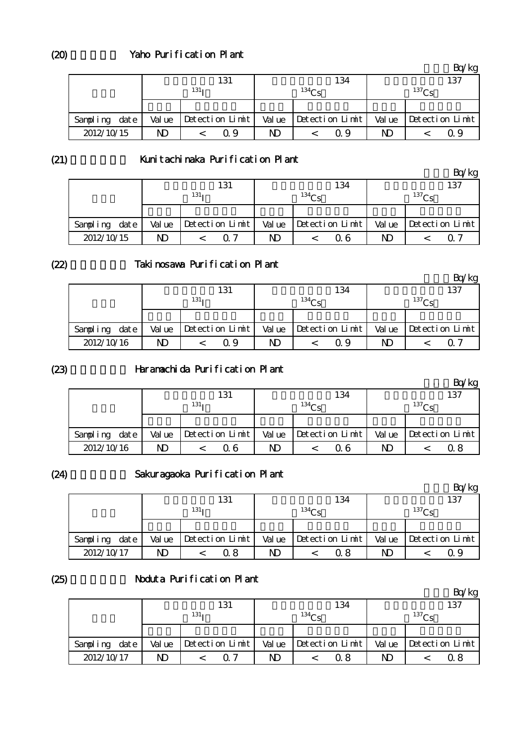|               |        | 131             |        | 134               | ⊸ ∼െ<br>137 |                       |  |
|---------------|--------|-----------------|--------|-------------------|-------------|-----------------------|--|
|               |        | $131_1$         |        | 134C <sub>c</sub> | $^{137}$ Cs |                       |  |
|               |        |                 |        |                   |             |                       |  |
| Sampling date | Val ue | Detection Limit | Val ue | Detection Limit   |             | Value Detection Limit |  |
| 2012/10/15    | ND     | Q 9             | ND     | Q 9               | ND          | Q 9                   |  |

(21)

 $(20)$ 

## Kunitachinaka Purification Plant

|            |      |                  |  |                      |          |  |                 |             |     | Bq/kg           |  |
|------------|------|------------------|--|----------------------|----------|--|-----------------|-------------|-----|-----------------|--|
|            |      |                  |  | 131                  | 134      |  |                 |             | 137 |                 |  |
|            |      | 131 <sub>T</sub> |  |                      | $134C_S$ |  |                 | $^{137}$ Cs |     |                 |  |
|            |      |                  |  |                      |          |  |                 |             |     |                 |  |
| Sampling   | date | Val ue           |  | $Detecti$ on $Limit$ | Val ue   |  | Detection Limit | Val ue      |     | Detection Limit |  |
| 2012/10/15 |      | ND               |  | $\Omega$ 7           | ND       |  | 0 6             | ND          |     | ( ) '           |  |

(22)

## Takinosawa Purification Plant

|                  |                  |  |                      |                   |  |                 |              |  | Bq/kg           |
|------------------|------------------|--|----------------------|-------------------|--|-----------------|--------------|--|-----------------|
|                  |                  |  | 131                  |                   |  | 134             | 137          |  |                 |
|                  | 131 <sub>T</sub> |  |                      | 134C <sub>c</sub> |  |                 | 137Cs        |  |                 |
|                  |                  |  |                      |                   |  |                 |              |  |                 |
| Sampling<br>date | Val ue           |  | $Detecti$ on $Limit$ | Val ue            |  | Detection Limit | Val ue       |  | Detection Limit |
| 2012/10/16       | N)               |  | Q 9                  | ND                |  | ი 9             | $\mathbf{D}$ |  | 0. 7            |

#### (23)

#### Haramachida Purification Plant

|            |      |        |                  |                 |        |                   |                 |              |             | Bq/kg           |  |
|------------|------|--------|------------------|-----------------|--------|-------------------|-----------------|--------------|-------------|-----------------|--|
|            |      |        |                  | 131             |        |                   | 134             |              |             | 137             |  |
|            |      |        | 131 <sub>T</sub> |                 |        | 134C <sub>c</sub> |                 |              | $^{137}$ Cs |                 |  |
|            |      |        |                  |                 |        |                   |                 |              |             |                 |  |
| Sampling   | date | Val ue |                  | Detection Limit | Val ue |                   | Detection Limit | Val ue       |             | Detection Limit |  |
| 2012/10/16 |      | ND     |                  | 06              | ND     |                   | 0 6             | $\mathbf{D}$ |             | 0 8             |  |

#### (24)

# Sakuragaoka Purification Plant

|               |              |                  |        |                 |             | Bq/kg           |  |
|---------------|--------------|------------------|--------|-----------------|-------------|-----------------|--|
|               |              | 131              |        | 134             | 137         |                 |  |
|               |              | 131 <sub>T</sub> |        | 134Cs           | $^{137}$ Cs |                 |  |
|               |              |                  |        |                 |             |                 |  |
| Sampling date | Val ue       | Detection Limit  | Val ue | Detection Limit | Val ue      | Detection Limit |  |
| 2012/10/17    | $\mathbf{D}$ | 0.8              | ND     | 0. 8            | ND          | Q 9             |  |

#### (25)

# Noduta Purification Plant

|               |        |                  |    |                               |                         | 'Kg<br>ÞО       |  |
|---------------|--------|------------------|----|-------------------------------|-------------------------|-----------------|--|
|               |        | 131              |    | 134                           | 137                     |                 |  |
|               |        | 131 <sub>T</sub> |    | $134C_S$                      | $^{137}$ Cs             |                 |  |
|               |        |                  |    |                               |                         |                 |  |
| Sampling date | Val ue | Detection Limit  |    | Value $\vert$ Detection Limit | Val ue                  | Detection Limit |  |
| 2012/10/17    | N)     | า 7              | ND | 0.8                           | $\overline{\mathbf{D}}$ | 0 8             |  |

 $Rn/kg$ 

 $D_{\alpha}/l_{\alpha\alpha}$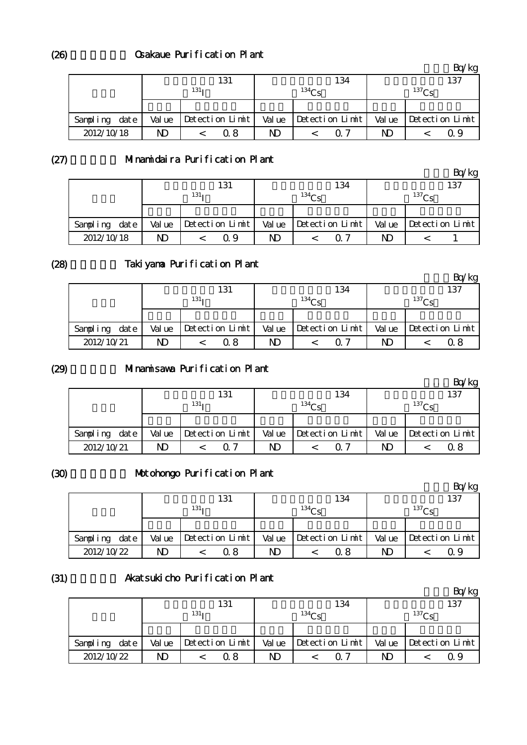|               |        | 131               |        | 134               | -77<br>137  |                                |  |
|---------------|--------|-------------------|--------|-------------------|-------------|--------------------------------|--|
|               |        | $131_1$           |        | 134C <sub>c</sub> | $^{137}$ Cs |                                |  |
|               |        |                   |        |                   |             |                                |  |
| Sampling date | Val ue | $Petection$ Limit | Val ue | Detection Limit   |             | Value $\Delta$ betection Limit |  |
| 2012/10/18    | ND     | 0.8               | ND     | ∩ 7               | ND          | O 9                            |  |

 $(27)$ 

(26)

# Minamidaira Purification Plant

|            |      |                  |  |                 |                   |  |                 |             |                 | Bq/kg |
|------------|------|------------------|--|-----------------|-------------------|--|-----------------|-------------|-----------------|-------|
|            |      |                  |  | 131             |                   |  | 134             | 137         |                 |       |
|            |      | 131 <sub>T</sub> |  |                 | 134C <sub>c</sub> |  |                 | $^{137}$ Cs |                 |       |
|            |      |                  |  |                 |                   |  |                 |             |                 |       |
| Sampling   | date | Val ue           |  | Detection Limit | Val ue            |  | Detection Limit | Val ue      | Detection Limit |       |
| 2012/10/18 |      | ND               |  | Q 9             | ND                |  |                 | ND          |                 |       |

#### (28)

# Takiyama Purification Plant

|               |        |                  |                 |        |                   |                 |        |                   | Bq/kg           |  |
|---------------|--------|------------------|-----------------|--------|-------------------|-----------------|--------|-------------------|-----------------|--|
|               |        |                  | 131             |        |                   | 134             | 137    |                   |                 |  |
|               |        | 131 <sub>T</sub> |                 |        | 134C <sub>c</sub> |                 |        | 137C <sub>g</sub> |                 |  |
|               |        |                  |                 |        |                   |                 |        |                   |                 |  |
| Sampling date | Val ue |                  | Detection Limit | Val ue |                   | Detection Limit | Val ue |                   | Detection Limit |  |
| 2012/10/21    | ND     |                  | Q 8             | ND     |                   | ∩ 7             | ND     |                   | 0.8             |  |

#### (29) Minamisawa Purification Plant

|            |      |        |                  |                 |        |                  |                 |        |             | BQ/kg           |  |
|------------|------|--------|------------------|-----------------|--------|------------------|-----------------|--------|-------------|-----------------|--|
|            |      | 131    |                  |                 |        |                  | 134             | 137    |             |                 |  |
|            |      |        | 131 <sub>T</sub> |                 |        | 134 <sub>C</sub> |                 |        | $^{137}$ Cc |                 |  |
|            |      |        |                  |                 |        |                  |                 |        |             |                 |  |
| Sampling   | date | Val ue |                  | Detection Limit | Val ue |                  | Detection Limit | Val ue |             | Detection Limit |  |
| 2012/10/21 |      | ND     |                  | $\mathcal{L}$   | ND     |                  | $\Omega$ 7      | ND     |             | Ω8              |  |

#### (30)

# Motohongo Purification Plant

|               |        |                  |        |                 |                   | ВŒ<br>'kg       |  |
|---------------|--------|------------------|--------|-----------------|-------------------|-----------------|--|
|               |        | 131              |        | 134             | 137               |                 |  |
|               |        | 131 <sub>T</sub> |        | $134\sigma$     | 137C <sub>c</sub> |                 |  |
|               |        |                  |        |                 |                   |                 |  |
| Sampling date | Val ue | Detection Limit  | Val ue | Detection Limit | Val ue            | Detection Limit |  |
| 2012/10/22    | ND     | Q 8              | ND     | 0.8             | ND                | Q 9             |  |

#### (31) Akatsukicho Purification Plant

|               |        |                  |        |                 |              | Bq/kg           |
|---------------|--------|------------------|--------|-----------------|--------------|-----------------|
|               |        | 131              |        | 134             |              | 137             |
|               |        | 131 <sub>T</sub> |        | $134C_S$        |              | $137$ $Cc$      |
|               |        |                  |        |                 |              |                 |
| Sampling date | Val ue | Detection Limit  | Val ue | Detection Limit | Val ue       | Detection Limit |
| 2012/10/22    | ND     | 0 8              | ND     | 0. 7            | $\mathbf{D}$ | Ω9              |

 $Rn/kg$ 

 $D = \sqrt{k}$ 

 $\mathbf{p}$ :  $\mathbf{q}$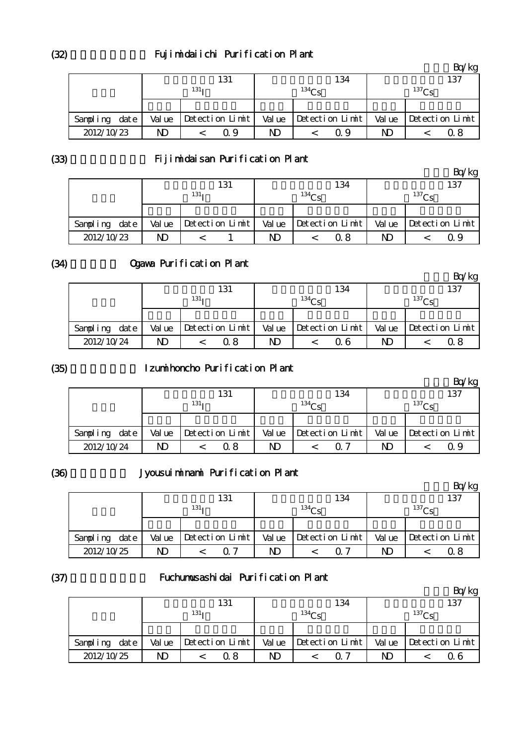## Fujimidaiichi Purification Plant

|               |        | 131              |        | 134               |        | 137             |
|---------------|--------|------------------|--------|-------------------|--------|-----------------|
|               |        | 131 <sub>T</sub> |        | 134C <sub>c</sub> |        | $^{137}$ Cs     |
|               |        |                  |        |                   |        |                 |
| Sampling date | Val ue | Detection Limit  | Val ue | Detection Limit   | Val ue | Detection Limit |
| 2012/10/23    | ND     | Q 9              | ND     | ი 9               | ND     | ი  გ            |

(33)

# Fijimidaisan Purification Plant

|               |        |                  |    |                       |                | Bq/kg                   |
|---------------|--------|------------------|----|-----------------------|----------------|-------------------------|
|               |        | 131              |    | 134                   |                | 137                     |
|               |        | 131 <sub>T</sub> |    | 134C <sub>c</sub>     |                | 137C <sub>c</sub>       |
|               |        |                  |    |                       |                |                         |
| Sampling date | Val ue | Detection Limit  |    | Value Detection Limit |                | Value   Detection Limit |
| 2012/10/23    | ND     |                  | ND | 0.8                   | N <sub>D</sub> | Q 9                     |

#### (34)

# Ogawa Purification Plant

|               |        |                  |        |                   |        | 'kg             |
|---------------|--------|------------------|--------|-------------------|--------|-----------------|
|               |        | 131              |        | 134               |        | 137             |
|               |        | 131 <sub>T</sub> |        | 134C <sub>c</sub> |        | $^{137}$ Cs     |
|               |        |                  |        |                   |        |                 |
| Sampling date | Val ue | Detection Limit  | Val ue | Detection Limit   | Val ue | Detection Limit |
| 2012/10/24    | ND     | Q 8              | ND     | Q 6               | ND     | Ω8              |

#### (35)

## Izumihoncho Purification Plant

|               |        |                  |        |                   |        | Bq/kg           |
|---------------|--------|------------------|--------|-------------------|--------|-----------------|
|               |        | 131              |        | 134               |        | 137             |
|               |        | 131 <sub>T</sub> |        | 134C <sub>c</sub> |        | $^{137}$ Cs     |
|               |        |                  |        |                   |        |                 |
| Sampling date | Val ue | Detection Limit  | Val ue | Detection Limit   | Val ue | Detection Limit |
| 2012/10/24    | ND     | Q 8              | ND     |                   | ND     | 09              |

### (36)

# Jyousuiminami Purification Plant

|                  |        |                   |        |                 |        | kg              |
|------------------|--------|-------------------|--------|-----------------|--------|-----------------|
|                  |        | 131               |        | 134             |        | 137             |
|                  |        | 131 <sub>T</sub>  |        | $134\sigma$     |        | $^{137}$ Cs     |
|                  |        |                   |        |                 |        |                 |
| date<br>Sampling | Val ue | $Detection$ Limit | Val ue | Detection Limit | Val ue | Detection Limit |
| 2012/10/25       | N)     |                   | ND     |                 | ND     | 0.8             |

(37)

#### Fuchumusashidai Purification Plant

|               |        |                  |        |                         |        | Bq/kg           |
|---------------|--------|------------------|--------|-------------------------|--------|-----------------|
|               |        | 131              |        | 134                     |        | 137             |
|               |        | 131 <sub>T</sub> |        | $134C_S$                |        | $^{137}$ Cs     |
|               |        |                  |        |                         |        |                 |
| Sampling date | Val ue | Detection Limit  | Val ue | $\vert$ Detection Limit | Val ue | Detection Limit |
| 2012/10/25    | N)     | Ω8               | ND     | O 7                     | ND     | ი 6             |

(32)